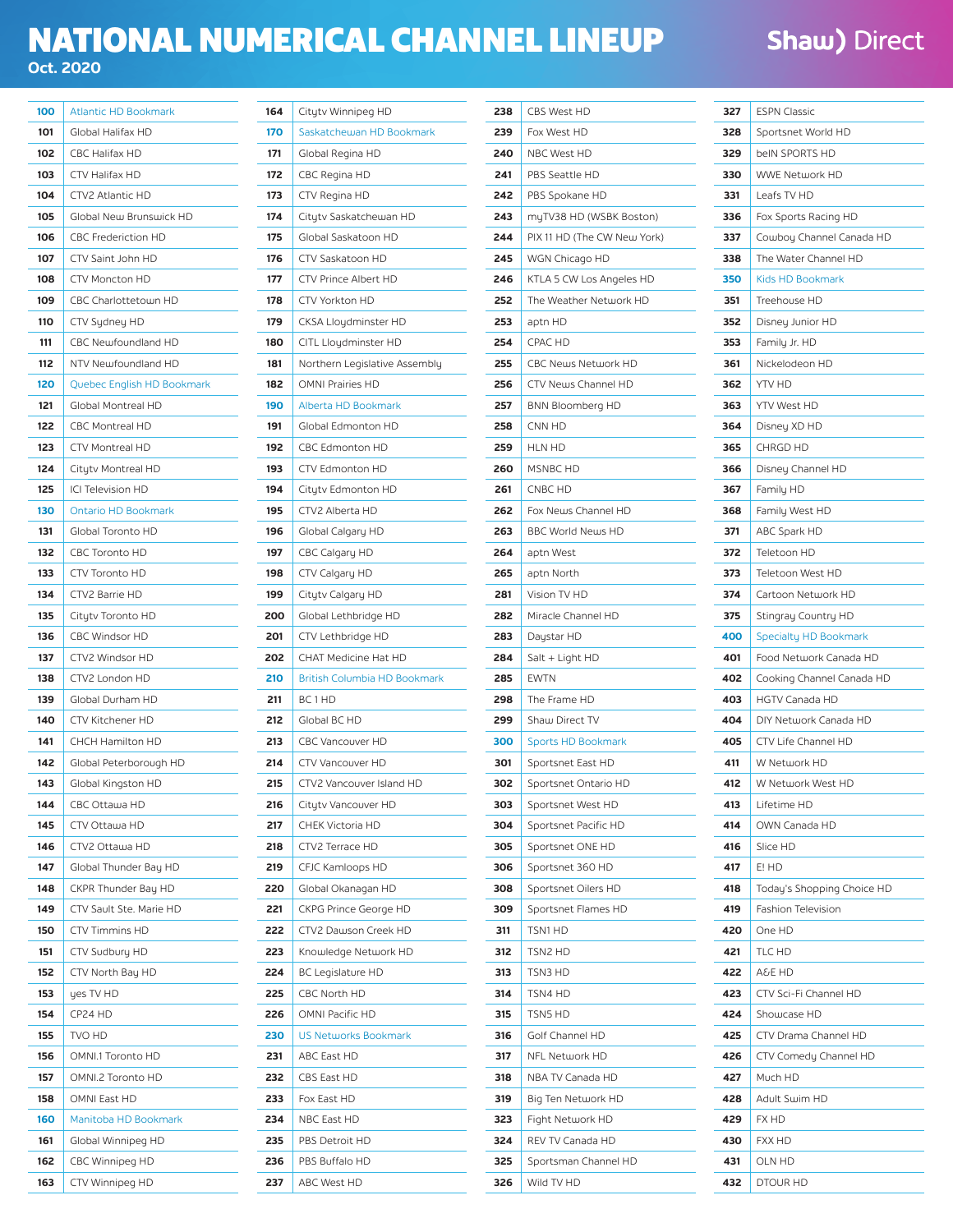## NATIONAL NUMERICAL CHANNEL LINEUP **Oct. 2020**

## **Shaw) Direct**

| 100 | <b>Atlantic HD Bookmark</b> |
|-----|-----------------------------|
| 101 | Global Halifax HD           |
| 102 | <b>CBC Halifax HD</b>       |
| 103 | <b>CTV Halifax HD</b>       |
| 104 | CTV2 Atlantic HD            |
| 105 | Global New Brunswick HD     |
| 106 | <b>CBC Frederiction HD</b>  |
| 107 | CTV Saint John HD           |
| 108 | <b>CTV Moncton HD</b>       |
| 109 | CBC Charlottetown HD        |
| 110 | CTV Sydney HD               |
| 111 | CBC Newfoundland HD         |
| 112 | NTV Newfoundland HD         |
| 120 | Quebec English HD Bookmark  |
| 121 | Global Montreal HD          |
| 122 | <b>CBC Montreal HD</b>      |
| 123 | <b>CTV Montreal HD</b>      |
| 124 | Citytv Montreal HD          |
| 125 | ICI Television HD           |
| 130 | <b>Ontario HD Bookmark</b>  |
| 131 | Global Toronto HD           |
| 132 | <b>CBC Toronto HD</b>       |
| 133 | CTV Toronto HD              |
| 134 | CTV2 Barrie HD              |
| 135 | Citytv Toronto HD           |
| 136 | <b>CBC Windsor HD</b>       |
| 137 | CTV2 Windsor HD             |
| 138 | CTV2 London HD              |
| 139 | Global Durham HD            |
| 140 | <b>CTV Kitchener HD</b>     |
| 141 | CHCH Hamilton HD            |
| 142 | Global Peterborough HD      |
| 143 | Global Kingston HD          |
| 144 | CBC Ottawa HD               |
| 145 | CTV Ottawa HD               |
| 146 | CTV2 Ottawa HD              |
| 147 | Global Thunder Bay HD       |
| 148 | CKPR Thunder Bay HD         |
| 149 | CTV Sault Ste. Marie HD     |
| 150 | <b>CTV Timmins HD</b>       |
| 151 | CTV Sudbury HD              |
| 152 | CTV North Bay HD            |
| 153 | yes TV HD                   |
| 154 | CP24 HD                     |
| 155 | TVO HD                      |
| 156 | OMNI.1 Toronto HD           |
| 157 | OMNI.2 Toronto HD           |
| 158 | OMNI East HD                |
| 160 | Manitoba HD Bookmark        |
| 161 | Global Winnipeg HD          |
| 162 | CBC Winnipeg HD             |
| 163 | CTV Winnipeg HD             |

| 164 | Citytv Winnipeg HD                  |
|-----|-------------------------------------|
| 170 | Saskatchewan HD Bookmark            |
| 171 | Global Regina HD                    |
| 172 | CBC Regina HD                       |
| 173 | CTV Regina HD                       |
| 174 | Citytv Saskatchewan HD              |
| 175 | Global Saskatoon HD                 |
| 176 | CTV Saskatoon HD                    |
| 177 | CTV Prince Albert HD                |
| 178 | CTV Yorkton HD                      |
| 179 | CKSA Lloydminster HD                |
| 180 | CITL Lloydminster HD                |
| 181 | Northern Legislative Assembly       |
| 182 | OMNI Prairies HD                    |
| 190 | <b>Alberta HD Bookmark</b>          |
| 191 | Global Edmonton HD                  |
| 192 | CBC Edmonton HD                     |
| 193 | CTV Edmonton HD                     |
| 194 | Citytv Edmonton HD                  |
| 195 | CTV2 Alberta HD                     |
| 196 | Global Calgary HD                   |
| 197 | CBC Calgary HD                      |
| 198 | CTV Calgary HD                      |
| 199 | Citytv Calgary HD                   |
| 200 | Global Lethbridge HD                |
| 201 | CTV Lethbridge HD                   |
| 202 | CHAT Medicine Hat HD                |
| 210 | <b>British Columbia HD Bookmark</b> |
| 211 | BC1HD                               |
| 212 | Global BC HD                        |
| 213 | CBC Vancouver HD                    |
| 214 | <b>CTV Vancouver HD</b>             |
| 215 | CTV2 Vancouver Island HD            |
| 216 | Citytv Vancouver HD                 |
| 217 | CHEK Victoria HD                    |
| 218 | CTV2 Terrace HD                     |
| 219 | CFJC Kamloops HD                    |
| 220 | Global Okanagan HD                  |
| 221 | CKPG Prince George HD               |
| 222 | CTV2 Dawson Creek HD                |
| 223 | Knowledge Network HD                |
| 224 | <b>BC Legislature HD</b>            |
| 225 | CBC North HD                        |
| 226 | OMNI Pacific HD                     |
| 230 | <b>US Networks Bookmark</b>         |
| 231 | ABC East HD                         |
| 232 | CBS East HD                         |
| 233 | Fox East HD                         |
| 234 | NBC East HD                         |
| 235 | PBS Detroit HD                      |
| 236 | PBS Buffalo HD                      |
| 237 | ABC West HD                         |

| 238        | CBS West HD                 |
|------------|-----------------------------|
| 239        | Fox West HD                 |
| 240        | NBC West HD                 |
| 241        | PBS Seattle HD              |
| 242        | PBS Spokane HD              |
| 243        | myTV38 HD (WSBK Boston)     |
| 244        | PIX 11 HD (The CW New York) |
| 245        | WGN Chicago HD              |
| 246        | KTLA 5 CW Los Angeles HD    |
| 252        | The Weather Network HD      |
| 253        | aptn HD                     |
| 254        | CPAC HD                     |
| 255        | CBC News Network HD         |
| 256        | CTV News Channel HD         |
| 257        | BNN Bloomberg HD            |
| 258        | CNN HD                      |
| 259        | <b>HLN HD</b>               |
| 260        | MSNBC HD                    |
| 261        | CNBC HD                     |
| 262        | Fox News Channel HD         |
| 263        | <b>BBC World News HD</b>    |
| 264        | aptn West                   |
| 265        | aptn North                  |
| 281        | Vision TV HD                |
| 282        | Miracle Channel HD          |
| 283        | Daystar HD                  |
| 284        | Salt + Light HD             |
| 285        | <b>EWTN</b>                 |
| 298        | The Frame HD                |
| 299        | Shaw Direct TV              |
| 300        | <b>Sports HD Bookmark</b>   |
| 301        | Sportsnet East HD           |
| 302        | Sportsnet Ontario HD        |
| 303        | Sportsnet West HD           |
| 304        | Sportsnet Pacific HD        |
| 305        | Sportsnet ONE HD            |
| 306        | Sportsnet 360 HD            |
|            |                             |
| 308<br>309 | Sportsnet Oilers HD         |
|            | Sportsnet Flames HD         |
| 311        | TSN1 HD                     |
| 312        | TSN2 HD                     |
| 313        | TSN3 HD                     |
| 314        | TSN4 HD                     |
| 315        | TSN5 HD                     |
| 316        | Golf Channel HD             |
| 317        | NFL Network HD              |
| 318        | NBA TV Canada HD            |
| 319        | Big Ten Network HD          |
| 323        | Fight Network HD            |
| 324        | REV TV Canada HD            |
| 325        | Sportsman Channel HD        |
| 326        | Wild TV HD                  |

| 327 | <b>ESPN Classic</b>        |
|-----|----------------------------|
| 328 | Sportsnet World HD         |
| 329 | beIN SPORTS HD             |
| 330 | <b>WWE Network HD</b>      |
| 331 | Leafs TV HD                |
| 336 | Fox Sports Racing HD       |
| 337 | Cowboy Channel Canada HD   |
| 338 | The Water Channel HD       |
| 350 | Kids HD Bookmark           |
| 351 | Treehouse HD               |
| 352 | Disney Junior HD           |
| 353 | Family Jr. HD              |
| 361 | Nickelodeon HD             |
| 362 | YTV HD                     |
| 363 | YTV West HD                |
| 364 | Disney XD HD               |
| 365 | CHRGD HD                   |
| 366 | Disney Channel HD          |
| 367 | Family HD                  |
| 368 | Family West HD             |
| 371 | ABC Spark HD               |
| 372 | Teletoon HD                |
| 373 | Teletoon West HD           |
| 374 | Cartoon Network HD         |
| 375 | Stingray Country HD        |
| 400 | Specialty HD Bookmark      |
| 401 | Food Network Canada HD     |
| 402 | Cooking Channel Canada HD  |
| 403 | <b>HGTV Canada HD</b>      |
| 404 | DIY Network Canada HD      |
| 405 | CTV Life Channel HD        |
| 411 | W Network HD               |
| 412 | W Network West HD          |
| 413 | Lifetime HD                |
| 414 | OWN Canada HD              |
| 416 | Slice HD                   |
| 417 | E! HD                      |
| 418 | Today's Shopping Choice HD |
| 419 | Fashion Television         |
| 420 | One HD                     |
| 421 | TLC HD                     |
| 422 | A&E HD                     |
| 423 | CTV Sci-Fi Channel HD      |
| 424 | Showcase HD                |
| 425 | CTV Drama Channel HD       |
| 426 | CTV Comedy Channel HD      |
| 427 | Much HD                    |
| 428 | Adult Swim HD              |
| 429 | FX HD                      |
| 430 | <b>FXX HD</b>              |
| 431 | OLN HD                     |
| 432 | DTOUR HD                   |